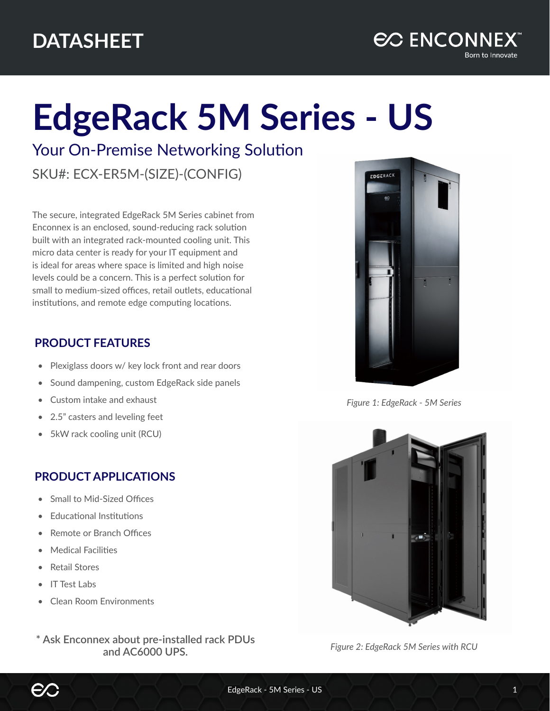# **EdgeRack 5M Series - US**

Your On-Premise Networking Solution

SKU#: ECX-ER5M-(SIZE)-(CONFIG)

The secure, integrated EdgeRack 5M Series cabinet from Enconnex is an enclosed, sound-reducing rack solution built with an integrated rack-mounted cooling unit. This micro data center is ready for your IT equipment and is ideal for areas where space is limited and high noise levels could be a concern. This is a perfect solution for small to medium-sized offices, retail outlets, educational institutions, and remote edge computing locations.

### **PRODUCT FEATURES**

- Plexiglass doors w/ key lock front and rear doors
- Sound dampening, custom EdgeRack side panels
- Custom intake and exhaust
- 2.5" casters and leveling feet
- 5kW rack cooling unit (RCU)

## **PRODUCT APPLICATIONS**

- Small to Mid-Sized Offices
- Educational Institutions
- Remote or Branch Offices
- Medical Facilities
- Retail Stores
- IT Test Labs
- Clean Room Environments
- *Figure 2: EdgeRack 5M Series with RCU* **\* Ask Enconnex about pre-installed rack PDUs and AC6000 UPS.**



*Figure 1: EdgeRack - 5M Series*

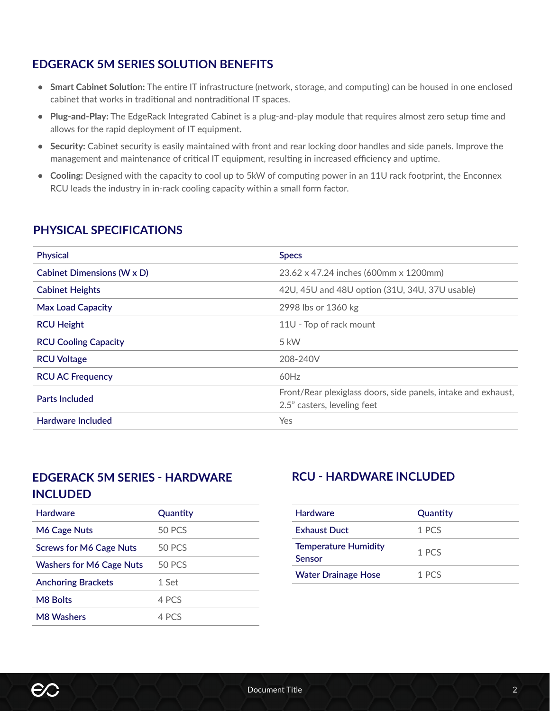#### **EDGERACK 5M SERIES SOLUTION BENEFITS**

- **• Smart Cabinet Solution:** The entire IT infrastructure (network, storage, and computing) can be housed in one enclosed cabinet that works in traditional and nontraditional IT spaces.
- **• Plug-and-Play:** The EdgeRack Integrated Cabinet is a plug-and-play module that requires almost zero setup time and allows for the rapid deployment of IT equipment.
- **• Security:** Cabinet security is easily maintained with front and rear locking door handles and side panels. Improve the management and maintenance of critical IT equipment, resulting in increased efficiency and uptime.
- **• Cooling:** Designed with the capacity to cool up to 5kW of computing power in an 11U rack footprint, the Enconnex RCU leads the industry in in-rack cooling capacity within a small form factor.

#### **PHYSICAL SPECIFICATIONS**

| <b>Physical</b>                   | <b>Specs</b>                                                                                 |
|-----------------------------------|----------------------------------------------------------------------------------------------|
| <b>Cabinet Dimensions (W x D)</b> | 23.62 x 47.24 inches (600mm x 1200mm)                                                        |
| <b>Cabinet Heights</b>            | 42U, 45U and 48U option (31U, 34U, 37U usable)                                               |
| <b>Max Load Capacity</b>          | 2998 lbs or 1360 kg                                                                          |
| <b>RCU Height</b>                 | 11U - Top of rack mount                                                                      |
| <b>RCU Cooling Capacity</b>       | 5 kW                                                                                         |
| <b>RCU Voltage</b>                | 208-240V                                                                                     |
| <b>RCU AC Frequency</b>           | 60Hz                                                                                         |
| <b>Parts Included</b>             | Front/Rear plexiglass doors, side panels, intake and exhaust,<br>2.5" casters, leveling feet |
| <b>Hardware Included</b>          | Yes                                                                                          |
|                                   |                                                                                              |

#### **EDGERACK 5M SERIES - HARDWARE INCLUDED**

| <b>Hardware</b>                 | Quantity      |
|---------------------------------|---------------|
| M6 Cage Nuts                    | 50 PCS        |
| <b>Screws for M6 Cage Nuts</b>  | <b>50 PCS</b> |
| <b>Washers for M6 Cage Nuts</b> | <b>50 PCS</b> |
| <b>Anchoring Brackets</b>       | 1 Set         |
| <b>M8 Bolts</b>                 | 4 PCS         |
| <b>M8 Washers</b>               | 4 PCS         |
|                                 |               |

#### **RCU - HARDWARE INCLUDED**

| <b>Hardware</b>                       | Quantity |
|---------------------------------------|----------|
| <b>Exhaust Duct</b>                   | 1 PCS    |
| <b>Temperature Humidity</b><br>Sensor | 1 PCS    |
| <b>Water Drainage Hose</b>            | 1 PCS    |

**EC**